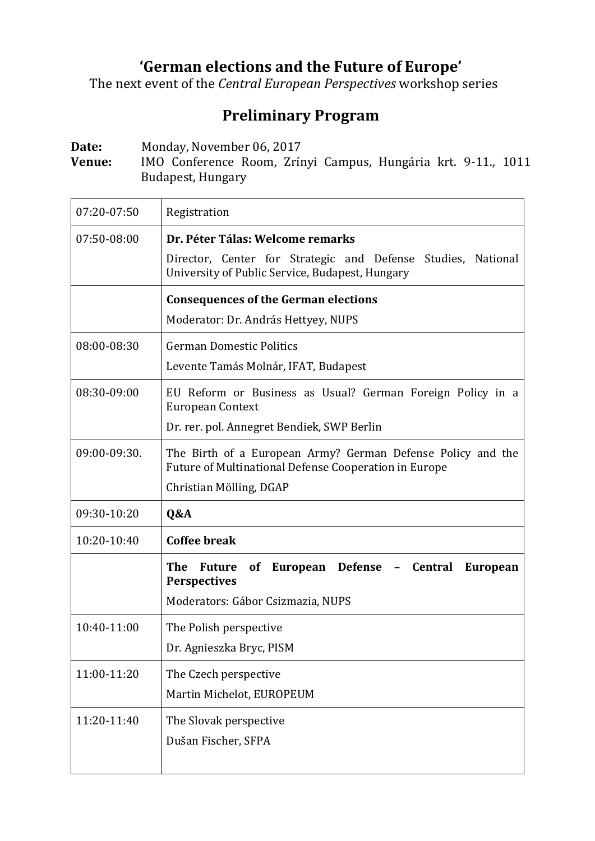## **'German elections and the Future of Europe'**

The next event of the *Central European Perspectives* workshop series

## **Preliminary Program**

Date: Monday, November 06, 2017

**Venue:** IMO Conference Room, Zrínyi Campus, Hungária krt. 9-11., 1011 Budapest, Hungary

| 07:20-07:50  | Registration                                                                                                                                      |
|--------------|---------------------------------------------------------------------------------------------------------------------------------------------------|
| 07:50-08:00  | Dr. Péter Tálas: Welcome remarks                                                                                                                  |
|              | Director, Center for Strategic and Defense Studies, National<br>University of Public Service, Budapest, Hungary                                   |
|              | <b>Consequences of the German elections</b>                                                                                                       |
|              | Moderator: Dr. András Hettyey, NUPS                                                                                                               |
| 08:00-08:30  | <b>German Domestic Politics</b>                                                                                                                   |
|              | Levente Tamás Molnár, IFAT, Budapest                                                                                                              |
| 08:30-09:00  | EU Reform or Business as Usual? German Foreign Policy in a<br><b>European Context</b>                                                             |
|              | Dr. rer. pol. Annegret Bendiek, SWP Berlin                                                                                                        |
| 09:00-09:30. | The Birth of a European Army? German Defense Policy and the<br>Future of Multinational Defense Cooperation in Europe<br>Christian Mölling, DGAP   |
| 09:30-10:20  | Q&A                                                                                                                                               |
| 10:20-10:40  | <b>Coffee break</b>                                                                                                                               |
|              | <b>The</b><br>European Defense -<br><b>Central</b><br>Future<br>of<br><b>European</b><br><b>Perspectives</b><br>Moderators: Gábor Csizmazia, NUPS |
| 10:40-11:00  | The Polish perspective                                                                                                                            |
|              | Dr. Agnieszka Bryc, PISM                                                                                                                          |
| 11:00-11:20  | The Czech perspective                                                                                                                             |
|              | Martin Michelot, EUROPEUM                                                                                                                         |
| 11:20-11:40  | The Slovak perspective                                                                                                                            |
|              | Dušan Fischer, SFPA                                                                                                                               |
|              |                                                                                                                                                   |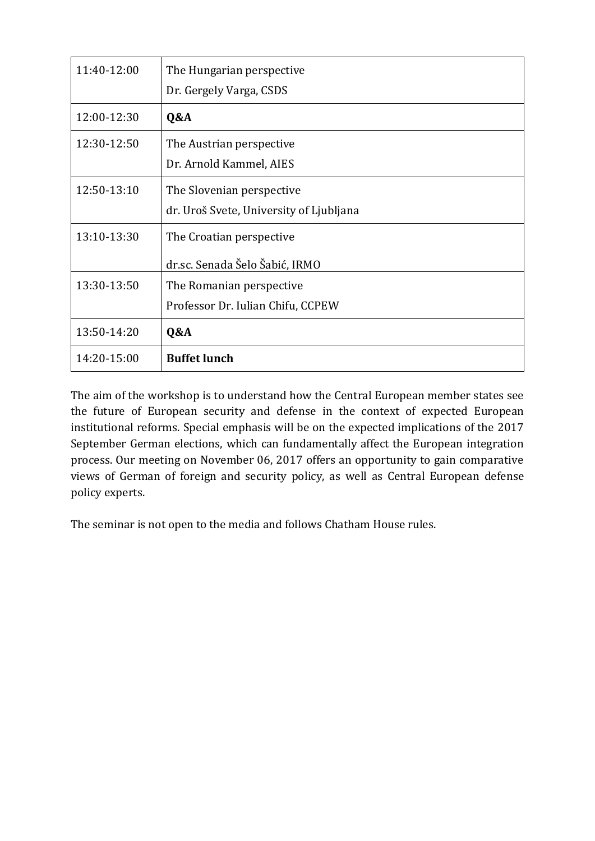| 11:40-12:00 | The Hungarian perspective               |
|-------------|-----------------------------------------|
|             | Dr. Gergely Varga, CSDS                 |
| 12:00-12:30 | Q&A                                     |
| 12:30-12:50 | The Austrian perspective                |
|             | Dr. Arnold Kammel, AIES                 |
| 12:50-13:10 | The Slovenian perspective               |
|             | dr. Uroš Svete, University of Ljubljana |
| 13:10-13:30 | The Croatian perspective                |
|             | dr.sc. Senada Šelo Šabić, IRMO          |
| 13:30-13:50 | The Romanian perspective                |
|             | Professor Dr. Iulian Chifu, CCPEW       |
| 13:50-14:20 | Q&A                                     |
| 14:20-15:00 | <b>Buffet lunch</b>                     |

The aim of the workshop is to understand how the Central European member states see the future of European security and defense in the context of expected European institutional reforms. Special emphasis will be on the expected implications of the 2017 September German elections, which can fundamentally affect the European integration process. Our meeting on November 06, 2017 offers an opportunity to gain comparative views of German of foreign and security policy, as well as Central European defense policy experts.

The seminar is not open to the media and follows Chatham House rules.